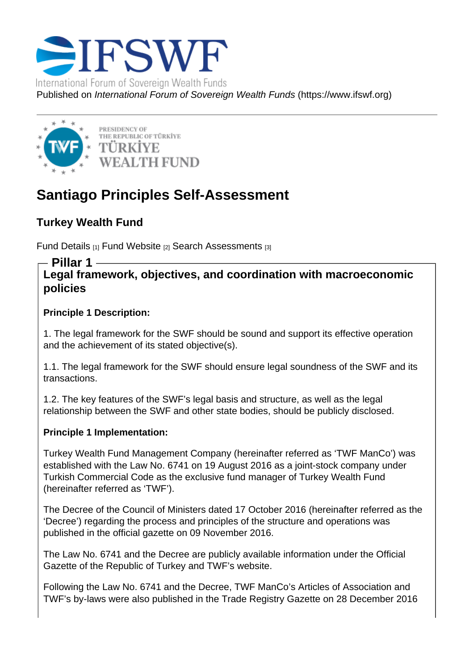# Santiago Principles Self-Assessment

Turkey Wealth Fund

Fund Details [1] Fund Website [2] Search Assessments [3]

Pillar 1

Legal framework, objectives, and coordination with macroeconomic [policies](https://www.ifswf.org/node/1311)

Principle 1 Description:

1. The legal framework for the SWF should be sound and support its effective operation and the achievement of its stated objective(s).

1.1. The legal framework for the SWF should ensure legal soundness of the SWF and its transactions.

1.2. The key features of the SWF's legal basis and structure, as well as the legal relationship between the SWF and other state bodies, should be publicly disclosed.

Principle 1 Implementation:

Turkey Wealth Fund Management Company (hereinafter referred as 'TWF ManCo') was established with the Law No. 6741 on 19 August 2016 as a joint-stock company under Turkish Commercial Code as the exclusive fund manager of Turkey Wealth Fund (hereinafter referred as 'TWF').

The Decree of the Council of Ministers dated 17 October 2016 (hereinafter referred as the 'Decree') regarding the process and principles of the structure and operations was published in the official gazette on 09 November 2016.

The Law No. 6741 and the Decree are publicly available information under the Official Gazette of the Republic of Turkey and TWF's website.

Following the Law No. 6741 and the Decree, TWF ManCo's Articles of Association and TWF's by-laws were also published in the Trade Registry Gazette on 28 December 2016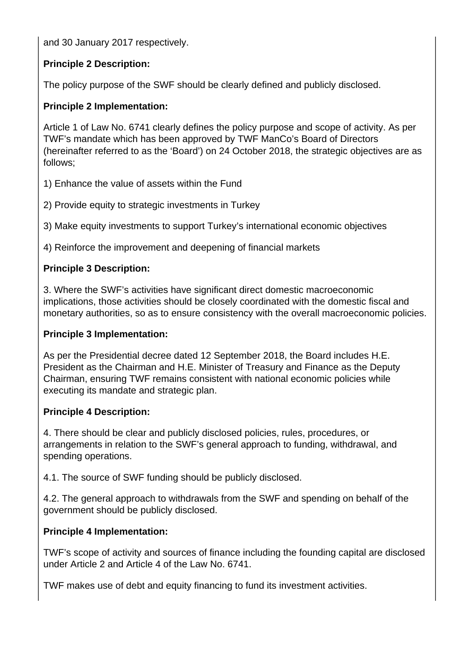and 30 January 2017 respectively.

# **Principle 2 Description:**

The policy purpose of the SWF should be clearly defined and publicly disclosed.

# **Principle 2 Implementation:**

Article 1 of Law No. 6741 clearly defines the policy purpose and scope of activity. As per TWF's mandate which has been approved by TWF ManCo's Board of Directors (hereinafter referred to as the 'Board') on 24 October 2018, the strategic objectives are as follows;

- 1) Enhance the value of assets within the Fund
- 2) Provide equity to strategic investments in Turkey

3) Make equity investments to support Turkey's international economic objectives

4) Reinforce the improvement and deepening of financial markets

# **Principle 3 Description:**

3. Where the SWF's activities have significant direct domestic macroeconomic implications, those activities should be closely coordinated with the domestic fiscal and monetary authorities, so as to ensure consistency with the overall macroeconomic policies.

#### **Principle 3 Implementation:**

As per the Presidential decree dated 12 September 2018, the Board includes H.E. President as the Chairman and H.E. Minister of Treasury and Finance as the Deputy Chairman, ensuring TWF remains consistent with national economic policies while executing its mandate and strategic plan.

#### **Principle 4 Description:**

4. There should be clear and publicly disclosed policies, rules, procedures, or arrangements in relation to the SWF's general approach to funding, withdrawal, and spending operations.

4.1. The source of SWF funding should be publicly disclosed.

4.2. The general approach to withdrawals from the SWF and spending on behalf of the government should be publicly disclosed.

# **Principle 4 Implementation:**

TWF's scope of activity and sources of finance including the founding capital are disclosed under Article 2 and Article 4 of the Law No. 6741.

TWF makes use of debt and equity financing to fund its investment activities.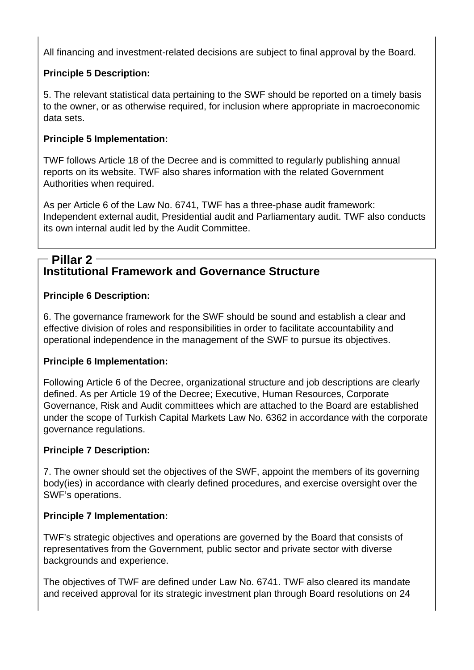All financing and investment-related decisions are subject to final approval by the Board.

# **Principle 5 Description:**

5. The relevant statistical data pertaining to the SWF should be reported on a timely basis to the owner, or as otherwise required, for inclusion where appropriate in macroeconomic data sets.

# **Principle 5 Implementation:**

TWF follows Article 18 of the Decree and is committed to regularly publishing annual reports on its website. TWF also shares information with the related Government Authorities when required.

As per Article 6 of the Law No. 6741, TWF has a three-phase audit framework: Independent external audit, Presidential audit and Parliamentary audit. TWF also conducts its own internal audit led by the Audit Committee.

# **Institutional Framework and Governance Structure Pillar 2**

# **Principle 6 Description:**

6. The governance framework for the SWF should be sound and establish a clear and effective division of roles and responsibilities in order to facilitate accountability and operational independence in the management of the SWF to pursue its objectives.

# **Principle 6 Implementation:**

Following Article 6 of the Decree, organizational structure and job descriptions are clearly defined. As per Article 19 of the Decree; Executive, Human Resources, Corporate Governance, Risk and Audit committees which are attached to the Board are established under the scope of Turkish Capital Markets Law No. 6362 in accordance with the corporate governance regulations.

# **Principle 7 Description:**

7. The owner should set the objectives of the SWF, appoint the members of its governing body(ies) in accordance with clearly defined procedures, and exercise oversight over the SWF's operations.

# **Principle 7 Implementation:**

TWF's strategic objectives and operations are governed by the Board that consists of representatives from the Government, public sector and private sector with diverse backgrounds and experience.

The objectives of TWF are defined under Law No. 6741. TWF also cleared its mandate and received approval for its strategic investment plan through Board resolutions on 24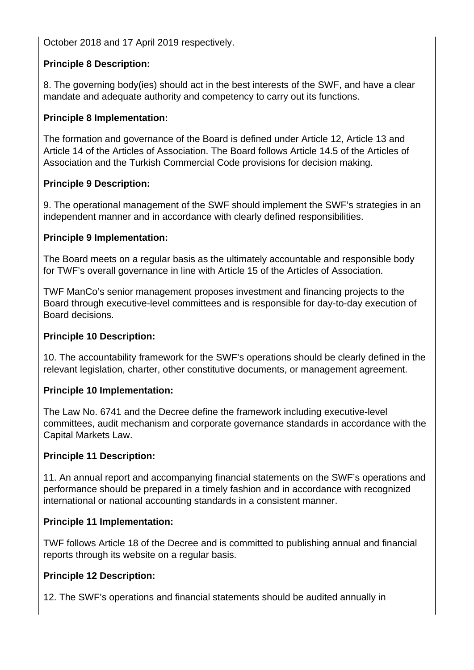October 2018 and 17 April 2019 respectively.

## **Principle 8 Description:**

8. The governing body(ies) should act in the best interests of the SWF, and have a clear mandate and adequate authority and competency to carry out its functions.

## **Principle 8 Implementation:**

The formation and governance of the Board is defined under Article 12, Article 13 and Article 14 of the Articles of Association. The Board follows Article 14.5 of the Articles of Association and the Turkish Commercial Code provisions for decision making.

## **Principle 9 Description:**

9. The operational management of the SWF should implement the SWF's strategies in an independent manner and in accordance with clearly defined responsibilities.

## **Principle 9 Implementation:**

The Board meets on a regular basis as the ultimately accountable and responsible body for TWF's overall governance in line with Article 15 of the Articles of Association.

TWF ManCo's senior management proposes investment and financing projects to the Board through executive-level committees and is responsible for day-to-day execution of Board decisions.

#### **Principle 10 Description:**

10. The accountability framework for the SWF's operations should be clearly defined in the relevant legislation, charter, other constitutive documents, or management agreement.

#### **Principle 10 Implementation:**

The Law No. 6741 and the Decree define the framework including executive-level committees, audit mechanism and corporate governance standards in accordance with the Capital Markets Law.

#### **Principle 11 Description:**

11. An annual report and accompanying financial statements on the SWF's operations and performance should be prepared in a timely fashion and in accordance with recognized international or national accounting standards in a consistent manner.

# **Principle 11 Implementation:**

TWF follows Article 18 of the Decree and is committed to publishing annual and financial reports through its website on a regular basis.

#### **Principle 12 Description:**

12. The SWF's operations and financial statements should be audited annually in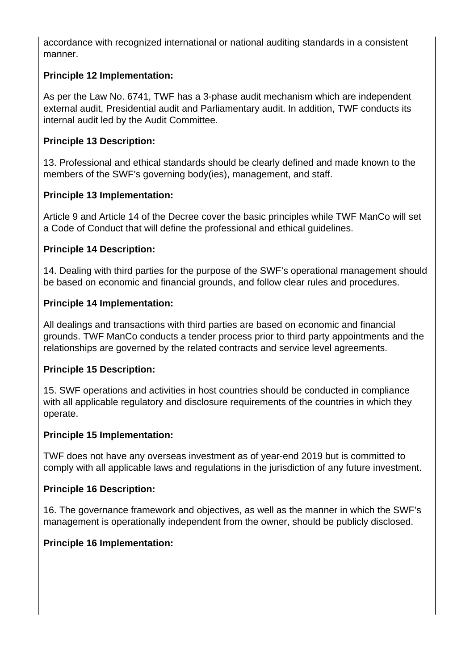accordance with recognized international or national auditing standards in a consistent manner.

# **Principle 12 Implementation:**

As per the Law No. 6741, TWF has a 3-phase audit mechanism which are independent external audit, Presidential audit and Parliamentary audit. In addition, TWF conducts its internal audit led by the Audit Committee.

#### **Principle 13 Description:**

13. Professional and ethical standards should be clearly defined and made known to the members of the SWF's governing body(ies), management, and staff.

## **Principle 13 Implementation:**

Article 9 and Article 14 of the Decree cover the basic principles while TWF ManCo will set a Code of Conduct that will define the professional and ethical guidelines.

## **Principle 14 Description:**

14. Dealing with third parties for the purpose of the SWF's operational management should be based on economic and financial grounds, and follow clear rules and procedures.

## **Principle 14 Implementation:**

All dealings and transactions with third parties are based on economic and financial grounds. TWF ManCo conducts a tender process prior to third party appointments and the relationships are governed by the related contracts and service level agreements.

#### **Principle 15 Description:**

15. SWF operations and activities in host countries should be conducted in compliance with all applicable regulatory and disclosure requirements of the countries in which they operate.

#### **Principle 15 Implementation:**

TWF does not have any overseas investment as of year-end 2019 but is committed to comply with all applicable laws and regulations in the jurisdiction of any future investment.

#### **Principle 16 Description:**

16. The governance framework and objectives, as well as the manner in which the SWF's management is operationally independent from the owner, should be publicly disclosed.

# **Principle 16 Implementation:**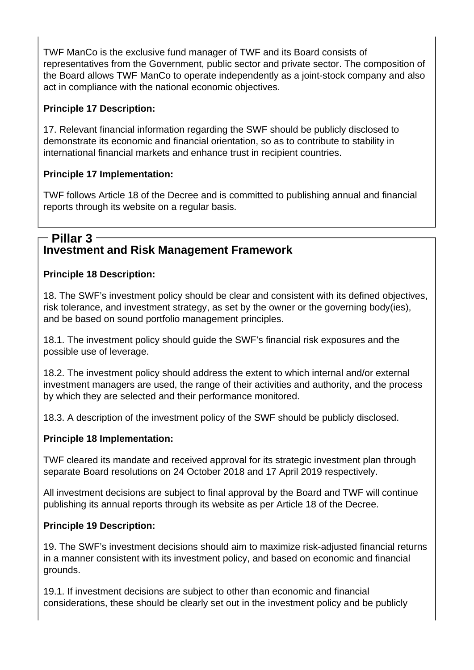TWF ManCo is the exclusive fund manager of TWF and its Board consists of representatives from the Government, public sector and private sector. The composition of the Board allows TWF ManCo to operate independently as a joint-stock company and also act in compliance with the national economic objectives.

# **Principle 17 Description:**

17. Relevant financial information regarding the SWF should be publicly disclosed to demonstrate its economic and financial orientation, so as to contribute to stability in international financial markets and enhance trust in recipient countries.

## **Principle 17 Implementation:**

TWF follows Article 18 of the Decree and is committed to publishing annual and financial reports through its website on a regular basis.

## **Investment and Risk Management Framework Pillar 3**

## **Principle 18 Description:**

18. The SWF's investment policy should be clear and consistent with its defined objectives, risk tolerance, and investment strategy, as set by the owner or the governing body(ies), and be based on sound portfolio management principles.

18.1. The investment policy should guide the SWF's financial risk exposures and the possible use of leverage.

18.2. The investment policy should address the extent to which internal and/or external investment managers are used, the range of their activities and authority, and the process by which they are selected and their performance monitored.

18.3. A description of the investment policy of the SWF should be publicly disclosed.

#### **Principle 18 Implementation:**

TWF cleared its mandate and received approval for its strategic investment plan through separate Board resolutions on 24 October 2018 and 17 April 2019 respectively.

All investment decisions are subject to final approval by the Board and TWF will continue publishing its annual reports through its website as per Article 18 of the Decree.

#### **Principle 19 Description:**

19. The SWF's investment decisions should aim to maximize risk-adjusted financial returns in a manner consistent with its investment policy, and based on economic and financial grounds.

19.1. If investment decisions are subject to other than economic and financial considerations, these should be clearly set out in the investment policy and be publicly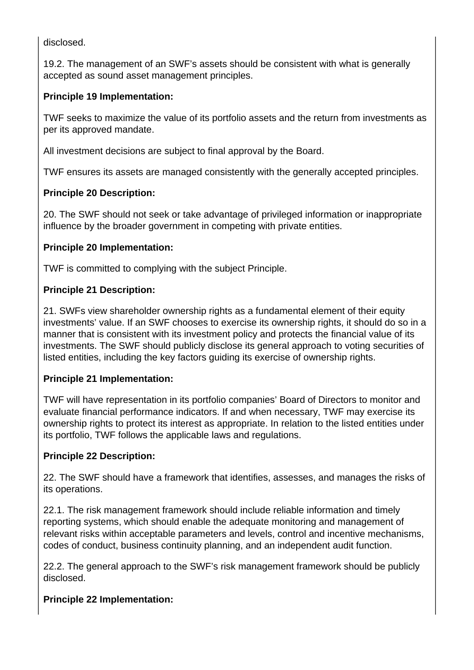disclosed.

19.2. The management of an SWF's assets should be consistent with what is generally accepted as sound asset management principles.

# **Principle 19 Implementation:**

TWF seeks to maximize the value of its portfolio assets and the return from investments as per its approved mandate.

All investment decisions are subject to final approval by the Board.

TWF ensures its assets are managed consistently with the generally accepted principles.

# **Principle 20 Description:**

20. The SWF should not seek or take advantage of privileged information or inappropriate influence by the broader government in competing with private entities.

## **Principle 20 Implementation:**

TWF is committed to complying with the subject Principle.

## **Principle 21 Description:**

21. SWFs view shareholder ownership rights as a fundamental element of their equity investments' value. If an SWF chooses to exercise its ownership rights, it should do so in a manner that is consistent with its investment policy and protects the financial value of its investments. The SWF should publicly disclose its general approach to voting securities of listed entities, including the key factors guiding its exercise of ownership rights.

#### **Principle 21 Implementation:**

TWF will have representation in its portfolio companies' Board of Directors to monitor and evaluate financial performance indicators. If and when necessary, TWF may exercise its ownership rights to protect its interest as appropriate. In relation to the listed entities under its portfolio, TWF follows the applicable laws and regulations.

#### **Principle 22 Description:**

22. The SWF should have a framework that identifies, assesses, and manages the risks of its operations.

22.1. The risk management framework should include reliable information and timely reporting systems, which should enable the adequate monitoring and management of relevant risks within acceptable parameters and levels, control and incentive mechanisms, codes of conduct, business continuity planning, and an independent audit function.

22.2. The general approach to the SWF's risk management framework should be publicly disclosed.

# **Principle 22 Implementation:**